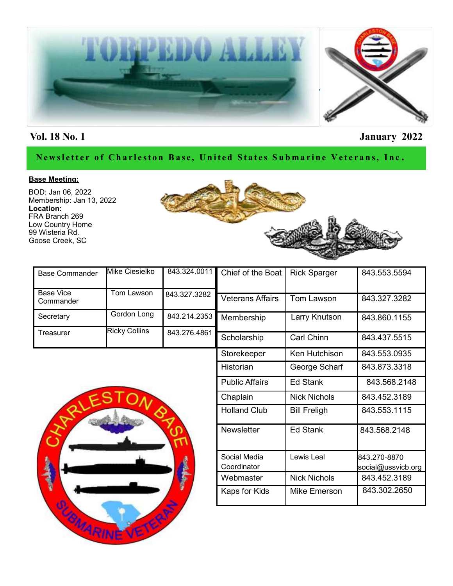

## **Vol. 18 No. 1 January 2022**

### Newsletter of Charleston Base, United States Submarine Veterans, Inc.

### **Base Meeting:**

BOD: Jan 06, 2022 Membership: Jan 13, 2022 **Location:** FRA Branch 269 Low Country Home 99 Wisteria Rd. Goose Creek, SC



| <b>Base Commander</b> | Mike Ciesielko       |              | 843.324.0011 Chief of the Boat | <b>Rick Sparger</b> | 843.553.5594 |
|-----------------------|----------------------|--------------|--------------------------------|---------------------|--------------|
| <b>Base Vice</b>      | Tom Lawson           |              |                                |                     |              |
| Commander             |                      | 843.327.3282 | <b>Veterans Affairs</b>        | Tom Lawson          | 843.327.3282 |
| Secretary             | Gordon Long          | 843.214.2353 | Membership                     | Larry Knutson       | 843.860.1155 |
| Γreasurer             | <b>Ricky Collins</b> | 843.276.4861 |                                |                     |              |
|                       |                      |              | Scholarship                    | <b>Carl Chinn</b>   | 843.437.5515 |
|                       |                      |              | Storekeeper                    | Ken Hutchison       | 843.553.0935 |



| Membership            | Larry Knutson       | 843.860.1155       |
|-----------------------|---------------------|--------------------|
| Scholarship           | <b>Carl Chinn</b>   | 843.437.5515       |
| Storekeeper           | Ken Hutchison       | 843.553.0935       |
| Historian             | George Scharf       | 843.873.3318       |
| <b>Public Affairs</b> | <b>Ed Stank</b>     | 843.568.2148       |
| Chaplain              | <b>Nick Nichols</b> | 843.452.3189       |
| <b>Holland Club</b>   | <b>Bill Freligh</b> | 843.553.1115       |
| <b>Newsletter</b>     | Ed Stank            | 843.568.2148       |
| Social Media          | Lewis Leal          | 843.270-8870       |
| Coordinator           |                     | social@ussvicb.org |
| Webmaster             | <b>Nick Nichols</b> | 843.452.3189       |
| Kaps for Kids         | Mike Emerson        | 843.302.2650       |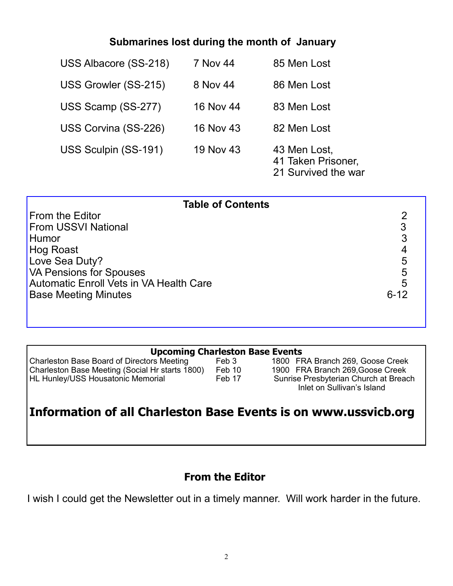## **Submarines lost during the month of January**

| USS Albacore (SS-218) | 7 Nov 44  | 85 Men Lost                                               |
|-----------------------|-----------|-----------------------------------------------------------|
| USS Growler (SS-215)  | 8 Nov 44  | 86 Men Lost                                               |
| USS Scamp (SS-277)    | 16 Nov 44 | 83 Men Lost                                               |
| USS Corvina (SS-226)  | 16 Nov 43 | 82 Men Lost                                               |
| USS Sculpin (SS-191)  | 19 Nov 43 | 43 Men Lost,<br>41 Taken Prisoner,<br>21 Survived the war |

| <b>Table of Contents</b>                       |   |
|------------------------------------------------|---|
| From the Editor                                |   |
| <b>From USSVI National</b>                     | 3 |
| Humor                                          | 3 |
| Hog Roast                                      |   |
| Love Sea Duty?                                 | 5 |
| <b>VA Pensions for Spouses</b>                 | 5 |
| <b>Automatic Enroll Vets in VA Health Care</b> |   |
| <b>Base Meeting Minutes</b>                    |   |
|                                                |   |
|                                                |   |

Charleston Base Board of Directors Meeting Feb 3 Charleston Base Meeting (Social Hr starts 1800) Feb 10 1900 FRA Branch 269,Goose Creek<br>HL Hunley/USS Housatonic Memorial Feb 17 Sunrise Presbyterian Church at Bread

**Upcoming Charleston Base Events**<br> **SEP 1800 FRA Branch 269, Goose Creek**<br>
1800 FRA Branch 269, Goose Creek Sunrise Presbyterian Church at Breach Inlet on Sullivan's Island

# **Information of all Charleston Base Events is on www.ussvicb.org**

## **From the Editor**

I wish I could get the Newsletter out in a timely manner. Will work harder in the future.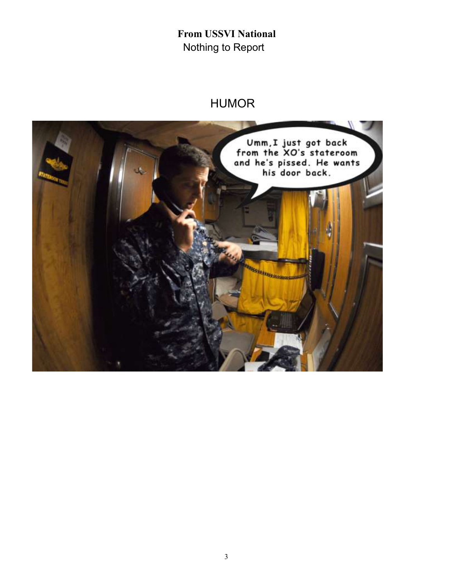**From USSVI National** Nothing to Report

# HUMOR

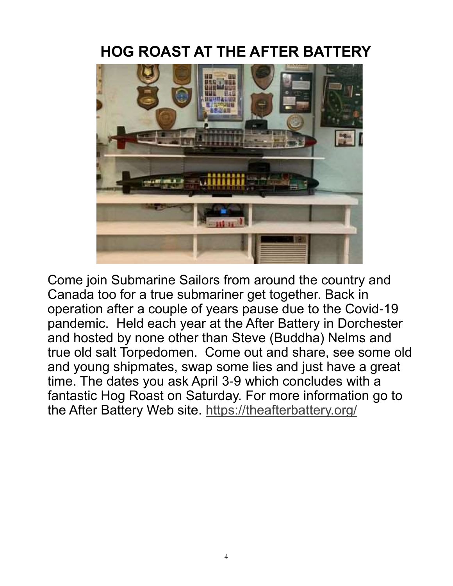# **HOG ROAST AT THE AFTER BATTERY**



Come join Submarine Sailors from around the country and Canada too for a true submariner get together. Back in operation after a couple of years pause due to the Covid-19 pandemic. Held each year at the After Battery in Dorchester and hosted by none other than Steve (Buddha) Nelms and true old salt Torpedomen. Come out and share, see some old and young shipmates, swap some lies and just have a great time. The dates you ask April 3-9 which concludes with a fantastic Hog Roast on Saturday. For more information go to the After Battery Web site.<https://theafterbattery.org/>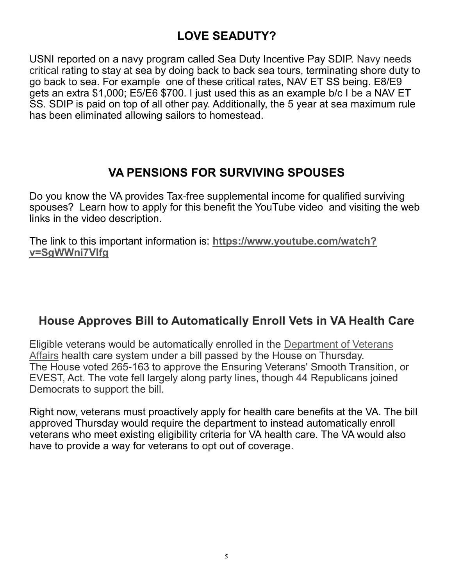# **LOVE SEADUTY?**

USNI reported on a navy program called Sea Duty Incentive Pay SDIP. Navy needs critical rating to stay at sea by doing back to back sea tours, terminating shore duty to go back to sea. For example one of these critical rates, NAV ET SS being. E8/E9 gets an extra \$1,000; E5/E6 \$700. I just used this as an example b/c I be a NAV ET SS. SDIP is paid on top of all other pay. Additionally, the 5 year at sea maximum rule has been eliminated allowing sailors to homestead.

## **VA PENSIONS FOR SURVIVING SPOUSES**

Do you know the VA provides Tax-free supplemental income for qualified surviving spouses? Learn how to apply for this benefit the YouTube video and visiting the web links in the video description.

The link to this important information is: **[https://www.youtube.com/watch?](https://www.youtube.com/watch?v=SgWWni7VIfg) [v=SgWWni7VIfg](https://www.youtube.com/watch?v=SgWWni7VIfg)**

## **House Approves Bill to Automatically Enroll Vets in VA Health Care**

Eligible veterans would be automatically enrolled in the [Department of Veterans](http://www.military.com/benefits/veteran-benefits)  [Affairs](http://www.military.com/benefits/veteran-benefits) health care system under a bill passed by the House on Thursday. The House voted 265-163 to approve the Ensuring Veterans' Smooth Transition, or EVEST, Act. The vote fell largely along party lines, though 44 Republicans joined Democrats to support the bill.

Right now, veterans must proactively apply for health care benefits at the VA. The bill approved Thursday would require the department to instead automatically enroll veterans who meet existing eligibility criteria for VA health care. The VA would also have to provide a way for veterans to opt out of coverage.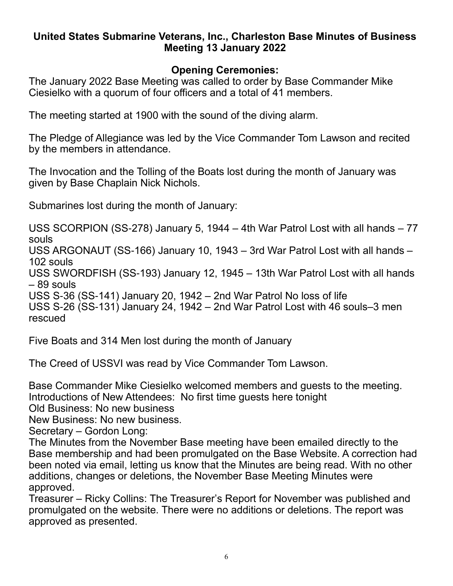## **United States Submarine Veterans, Inc., Charleston Base Minutes of Business Meeting 13 January 2022**

## **Opening Ceremonies:**

The January 2022 Base Meeting was called to order by Base Commander Mike Ciesielko with a quorum of four officers and a total of 41 members.

The meeting started at 1900 with the sound of the diving alarm.

The Pledge of Allegiance was led by the Vice Commander Tom Lawson and recited by the members in attendance.

The Invocation and the Tolling of the Boats lost during the month of January was given by Base Chaplain Nick Nichols.

Submarines lost during the month of January:

USS SCORPION (SS-278) January 5, 1944 – 4th War Patrol Lost with all hands – 77 souls

USS ARGONAUT (SS-166) January 10, 1943 – 3rd War Patrol Lost with all hands – 102 souls

USS SWORDFISH (SS-193) January 12, 1945 – 13th War Patrol Lost with all hands – 89 souls

USS S-36 (SS-141) January 20, 1942 – 2nd War Patrol No loss of life

USS S-26 (SS-131) January 24, 1942 – 2nd War Patrol Lost with 46 souls–3 men rescued

Five Boats and 314 Men lost during the month of January

The Creed of USSVI was read by Vice Commander Tom Lawson.

Base Commander Mike Ciesielko welcomed members and guests to the meeting. Introductions of New Attendees: No first time guests here tonight

Old Business: No new business

New Business: No new business.

Secretary – Gordon Long:

The Minutes from the November Base meeting have been emailed directly to the Base membership and had been promulgated on the Base Website. A correction had been noted via email, letting us know that the Minutes are being read. With no other additions, changes or deletions, the November Base Meeting Minutes were approved.

Treasurer – Ricky Collins: The Treasurer's Report for November was published and promulgated on the website. There were no additions or deletions. The report was approved as presented.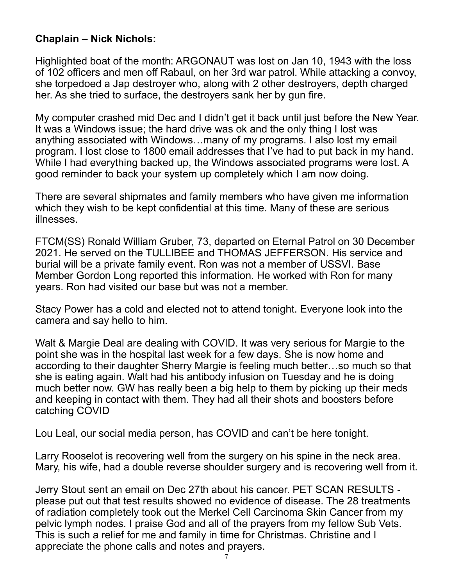## **Chaplain – Nick Nichols:**

Highlighted boat of the month: ARGONAUT was lost on Jan 10, 1943 with the loss of 102 officers and men off Rabaul, on her 3rd war patrol. While attacking a convoy, she torpedoed a Jap destroyer who, along with 2 other destroyers, depth charged her. As she tried to surface, the destroyers sank her by gun fire.

My computer crashed mid Dec and I didn't get it back until just before the New Year. It was a Windows issue; the hard drive was ok and the only thing I lost was anything associated with Windows…many of my programs. I also lost my email program. I lost close to 1800 email addresses that I've had to put back in my hand. While I had everything backed up, the Windows associated programs were lost. A good reminder to back your system up completely which I am now doing.

There are several shipmates and family members who have given me information which they wish to be kept confidential at this time. Many of these are serious illnesses.

FTCM(SS) Ronald William Gruber, 73, departed on Eternal Patrol on 30 December 2021. He served on the TULLIBEE and THOMAS JEFFERSON. His service and burial will be a private family event. Ron was not a member of USSVI. Base Member Gordon Long reported this information. He worked with Ron for many years. Ron had visited our base but was not a member.

Stacy Power has a cold and elected not to attend tonight. Everyone look into the camera and say hello to him.

Walt & Margie Deal are dealing with COVID. It was very serious for Margie to the point she was in the hospital last week for a few days. She is now home and according to their daughter Sherry Margie is feeling much better…so much so that she is eating again. Walt had his antibody infusion on Tuesday and he is doing much better now. GW has really been a big help to them by picking up their meds and keeping in contact with them. They had all their shots and boosters before catching COVID

Lou Leal, our social media person, has COVID and can't be here tonight.

Larry Rooselot is recovering well from the surgery on his spine in the neck area. Mary, his wife, had a double reverse shoulder surgery and is recovering well from it.

Jerry Stout sent an email on Dec 27th about his cancer. PET SCAN RESULTS please put out that test results showed no evidence of disease. The 28 treatments of radiation completely took out the Merkel Cell Carcinoma Skin Cancer from my pelvic lymph nodes. I praise God and all of the prayers from my fellow Sub Vets. This is such a relief for me and family in time for Christmas. Christine and I appreciate the phone calls and notes and prayers.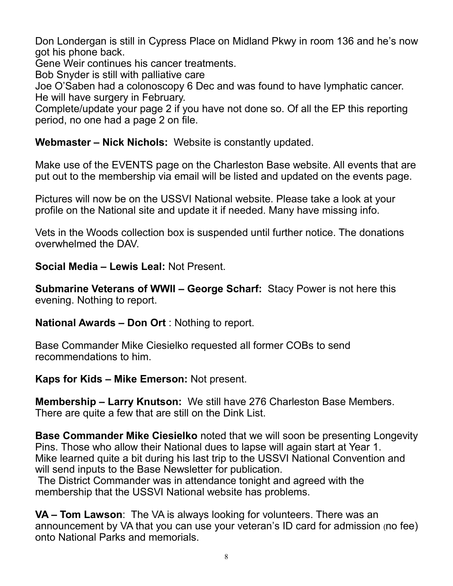Don Londergan is still in Cypress Place on Midland Pkwy in room 136 and he's now got his phone back.

Gene Weir continues his cancer treatments.

Bob Snyder is still with palliative care

Joe O'Saben had a colonoscopy 6 Dec and was found to have lymphatic cancer. He will have surgery in February.

Complete/update your page 2 if you have not done so. Of all the EP this reporting period, no one had a page 2 on file.

**Webmaster – Nick Nichols:** Website is constantly updated.

Make use of the EVENTS page on the Charleston Base website. All events that are put out to the membership via email will be listed and updated on the events page.

Pictures will now be on the USSVI National website. Please take a look at your profile on the National site and update it if needed. Many have missing info.

Vets in the Woods collection box is suspended until further notice. The donations overwhelmed the DAV.

**Social Media – Lewis Leal:** Not Present.

**Submarine Veterans of WWII – George Scharf:** Stacy Power is not here this evening. Nothing to report.

**National Awards – Don Ort** : Nothing to report.

Base Commander Mike Ciesielko requested all former COBs to send recommendations to him.

**Kaps for Kids – Mike Emerson:** Not present.

**Membership – Larry Knutson:** We still have 276 Charleston Base Members. There are quite a few that are still on the Dink List.

**Base Commander Mike Ciesielko** noted that we will soon be presenting Longevity Pins. Those who allow their National dues to lapse will again start at Year 1. Mike learned quite a bit during his last trip to the USSVI National Convention and will send inputs to the Base Newsletter for publication.

The District Commander was in attendance tonight and agreed with the membership that the USSVI National website has problems.

**VA – Tom Lawson**: The VA is always looking for volunteers. There was an announcement by VA that you can use your veteran's ID card for admission (no fee) onto National Parks and memorials.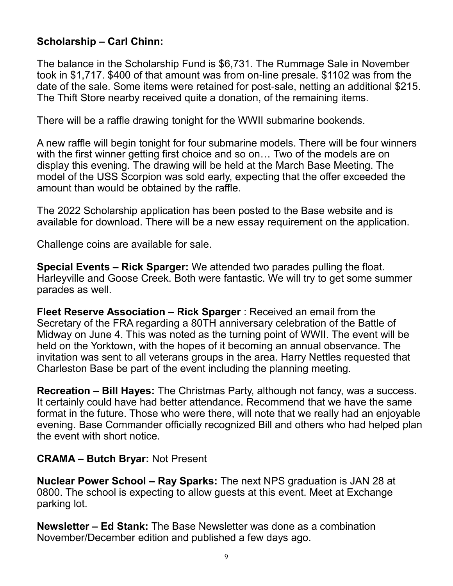## **Scholarship – Carl Chinn:**

The balance in the Scholarship Fund is \$6,731. The Rummage Sale in November took in \$1,717. \$400 of that amount was from on-line presale. \$1102 was from the date of the sale. Some items were retained for post-sale, netting an additional \$215. The Thift Store nearby received quite a donation, of the remaining items.

There will be a raffle drawing tonight for the WWII submarine bookends.

A new raffle will begin tonight for four submarine models. There will be four winners with the first winner getting first choice and so on… Two of the models are on display this evening. The drawing will be held at the March Base Meeting. The model of the USS Scorpion was sold early, expecting that the offer exceeded the amount than would be obtained by the raffle.

The 2022 Scholarship application has been posted to the Base website and is available for download. There will be a new essay requirement on the application.

Challenge coins are available for sale.

**Special Events – Rick Sparger:** We attended two parades pulling the float. Harleyville and Goose Creek. Both were fantastic. We will try to get some summer parades as well.

**Fleet Reserve Association – Rick Sparger** : Received an email from the Secretary of the FRA regarding a 80TH anniversary celebration of the Battle of Midway on June 4. This was noted as the turning point of WWII. The event will be held on the Yorktown, with the hopes of it becoming an annual observance. The invitation was sent to all veterans groups in the area. Harry Nettles requested that Charleston Base be part of the event including the planning meeting.

**Recreation – Bill Hayes:** The Christmas Party, although not fancy, was a success. It certainly could have had better attendance. Recommend that we have the same format in the future. Those who were there, will note that we really had an enjoyable evening. Base Commander officially recognized Bill and others who had helped plan the event with short notice.

## **CRAMA – Butch Bryar:** Not Present

**Nuclear Power School – Ray Sparks:** The next NPS graduation is JAN 28 at 0800. The school is expecting to allow guests at this event. Meet at Exchange parking lot.

**Newsletter – Ed Stank:** The Base Newsletter was done as a combination November/December edition and published a few days ago.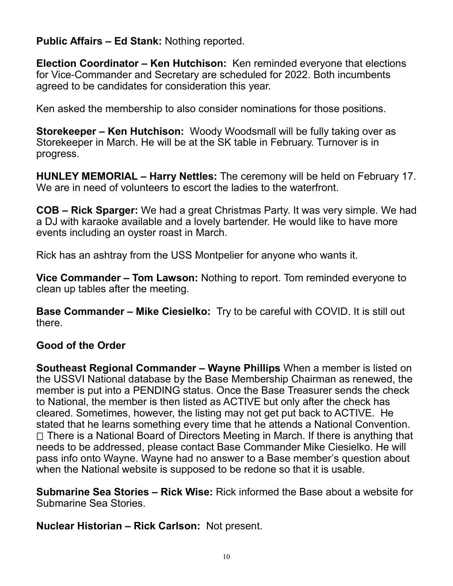**Public Affairs – Ed Stank:** Nothing reported.

**Election Coordinator – Ken Hutchison:** Ken reminded everyone that elections for Vice-Commander and Secretary are scheduled for 2022. Both incumbents agreed to be candidates for consideration this year.

Ken asked the membership to also consider nominations for those positions.

**Storekeeper – Ken Hutchison:** Woody Woodsmall will be fully taking over as Storekeeper in March. He will be at the SK table in February. Turnover is in progress.

**HUNLEY MEMORIAL – Harry Nettles:** The ceremony will be held on February 17. We are in need of volunteers to escort the ladies to the waterfront.

**COB – Rick Sparger:** We had a great Christmas Party. It was very simple. We had a DJ with karaoke available and a lovely bartender. He would like to have more events including an oyster roast in March.

Rick has an ashtray from the USS Montpelier for anyone who wants it.

**Vice Commander – Tom Lawson:** Nothing to report. Tom reminded everyone to clean up tables after the meeting.

**Base Commander – Mike Ciesielko:** Try to be careful with COVID. It is still out there.

## **Good of the Order**

**Southeast Regional Commander – Wayne Phillips** When a member is listed on the USSVI National database by the Base Membership Chairman as renewed, the member is put into a PENDING status. Once the Base Treasurer sends the check to National, the member is then listed as ACTIVE but only after the check has cleared. Sometimes, however, the listing may not get put back to ACTIVE. He stated that he learns something every time that he attends a National Convention.  $\Box$  There is a National Board of Directors Meeting in March. If there is anything that needs to be addressed, please contact Base Commander Mike Ciesielko. He will pass info onto Wayne. Wayne had no answer to a Base member's question about when the National website is supposed to be redone so that it is usable.

**Submarine Sea Stories – Rick Wise:** Rick informed the Base about a website for Submarine Sea Stories.

**Nuclear Historian – Rick Carlson:** Not present.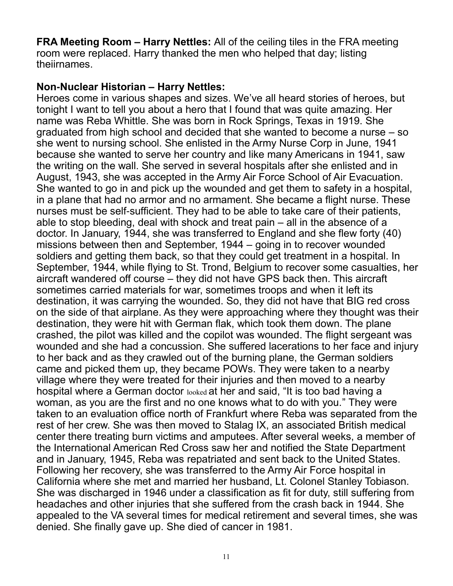**FRA Meeting Room – Harry Nettles:** All of the ceiling tiles in the FRA meeting room were replaced. Harry thanked the men who helped that day; listing theiirnames.

## **Non-Nuclear Historian – Harry Nettles:**

Heroes come in various shapes and sizes. We've all heard stories of heroes, but tonight I want to tell you about a hero that I found that was quite amazing. Her name was Reba Whittle. She was born in Rock Springs, Texas in 1919. She graduated from high school and decided that she wanted to become a nurse – so she went to nursing school. She enlisted in the Army Nurse Corp in June, 1941 because she wanted to serve her country and like many Americans in 1941, saw the writing on the wall. She served in several hospitals after she enlisted and in August, 1943, she was accepted in the Army Air Force School of Air Evacuation. She wanted to go in and pick up the wounded and get them to safety in a hospital, in a plane that had no armor and no armament. She became a flight nurse. These nurses must be self-sufficient. They had to be able to take care of their patients, able to stop bleeding, deal with shock and treat pain – all in the absence of a doctor. In January, 1944, she was transferred to England and she flew forty (40) missions between then and September, 1944 – going in to recover wounded soldiers and getting them back, so that they could get treatment in a hospital. In September, 1944, while flying to St. Trond, Belgium to recover some casualties, her aircraft wandered off course – they did not have GPS back then. This aircraft sometimes carried materials for war, sometimes troops and when it left its destination, it was carrying the wounded. So, they did not have that BIG red cross on the side of that airplane. As they were approaching where they thought was their destination, they were hit with German flak, which took them down. The plane crashed, the pilot was killed and the copilot was wounded. The flight sergeant was wounded and she had a concussion. She suffered lacerations to her face and injury to her back and as they crawled out of the burning plane, the German soldiers came and picked them up, they became POWs. They were taken to a nearby village where they were treated for their injuries and then moved to a nearby hospital where a German doctor looked at her and said, "It is too bad having a woman, as you are the first and no one knows what to do with you." They were taken to an evaluation office north of Frankfurt where Reba was separated from the rest of her crew. She was then moved to Stalag IX, an associated British medical center there treating burn victims and amputees. After several weeks, a member of the International American Red Cross saw her and notified the State Department and in January, 1945, Reba was repatriated and sent back to the United States. Following her recovery, she was transferred to the Army Air Force hospital in California where she met and married her husband, Lt. Colonel Stanley Tobiason. She was discharged in 1946 under a classification as fit for duty, still suffering from headaches and other injuries that she suffered from the crash back in 1944. She appealed to the VA several times for medical retirement and several times, she was denied. She finally gave up. She died of cancer in 1981.